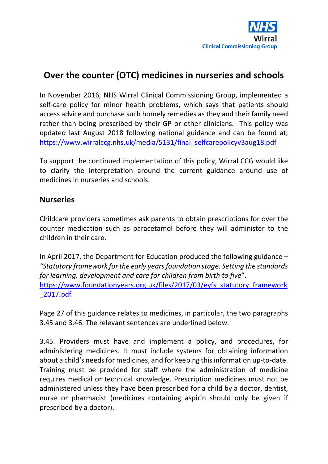# **Over the counter (OTC) medicines in nurseries and schools**

In November 2016, NHS Wirral Clinical Commissioning Group, implemented a self-care policy for minor health problems, which says that patients should access advice and purchase such homely remedies as they and their family need rather than being prescribed by their GP or other clinicians. This policy was updated last August 2018 following national guidance and can be found at; [https://www.wirralccg.nhs.uk/media/5131/final\\_selfcarepolicyv3aug18.pdf](https://www.wirralccg.nhs.uk/media/5131/final_selfcarepolicyv3aug18.pdf)

To support the continued implementation of this policy, Wirral CCG would like to clarify the interpretation around the current guidance around use of medicines in nurseries and schools.

### **Nurseries**

Childcare providers sometimes ask parents to obtain prescriptions for over the counter medication such as paracetamol before they will administer to the children in their care.

In April 2017, the Department for Education produced the following guidance – *"Statutory framework for the early years foundation stage. Setting the standards for learning, development and care for children from birth to five*". [https://www.foundationyears.org.uk/files/2017/03/eyfs\\_statutory\\_framework](https://www.foundationyears.org.uk/files/2017/03/eyfs_statutory_framework_2017.pdf) [\\_2017.pdf](https://www.foundationyears.org.uk/files/2017/03/eyfs_statutory_framework_2017.pdf)

Page 27 of this guidance relates to medicines, in particular, the two paragraphs 3.45 and 3.46. The relevant sentences are underlined below.

3.45. Providers must have and implement a policy, and procedures, for administering medicines. It must include systems for obtaining information about a child's needs for medicines, and for keeping this information up-to-date. Training must be provided for staff where the administration of medicine requires medical or technical knowledge. Prescription medicines must not be administered unless they have been prescribed for a child by a doctor, dentist, nurse or pharmacist (medicines containing aspirin should only be given if prescribed by a doctor).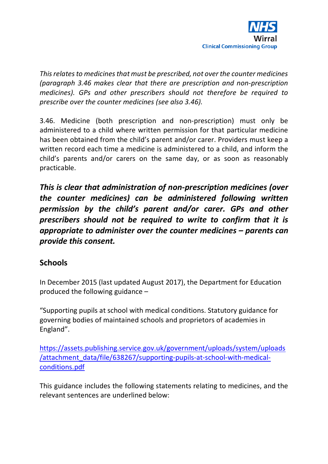

*This relates to medicines that must be prescribed, not over the counter medicines (paragraph 3.46 makes clear that there are prescription and non-prescription medicines). GPs and other prescribers should not therefore be required to prescribe over the counter medicines (see also 3.46).* 

3.46. Medicine (both prescription and non-prescription) must only be administered to a child where written permission for that particular medicine has been obtained from the child's parent and/or carer. Providers must keep a written record each time a medicine is administered to a child, and inform the child's parents and/or carers on the same day, or as soon as reasonably practicable.

*This is clear that administration of non-prescription medicines (over the counter medicines) can be administered following written permission by the child's parent and/or carer. GPs and other prescribers should not be required to write to confirm that it is appropriate to administer over the counter medicines – parents can provide this consent.* 

## **Schools**

In December 2015 (last updated August 2017), the Department for Education produced the following guidance –

"Supporting pupils at school with medical conditions. Statutory guidance for governing bodies of maintained schools and proprietors of academies in England".

[https://assets.publishing.service.gov.uk/government/uploads/system/uploads](https://assets.publishing.service.gov.uk/government/uploads/system/uploads/attachment_data/file/638267/supporting-pupils-at-school-with-medical-conditions.pdf) [/attachment\\_data/file/638267/supporting-pupils-at-school-with-medical](https://assets.publishing.service.gov.uk/government/uploads/system/uploads/attachment_data/file/638267/supporting-pupils-at-school-with-medical-conditions.pdf)[conditions.pdf](https://assets.publishing.service.gov.uk/government/uploads/system/uploads/attachment_data/file/638267/supporting-pupils-at-school-with-medical-conditions.pdf)

This guidance includes the following statements relating to medicines, and the relevant sentences are underlined below: